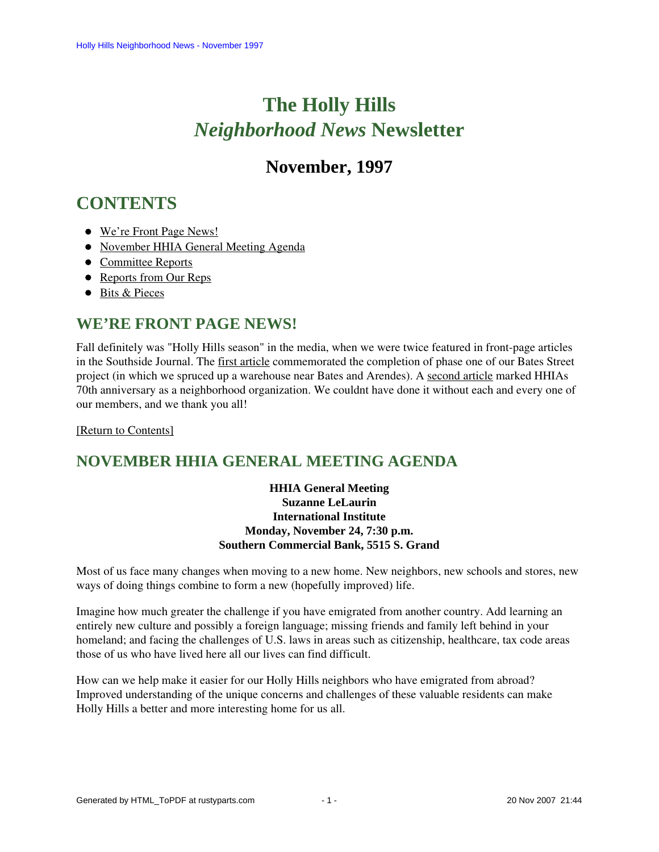# **The Holly Hills**  *Neighborhood News* **Newsletter**

## **November, 1997**

# <span id="page-0-2"></span>**CONTENTS**

- [We're Front Page News!](#page-0-0)
- [November HHIA General Meeting Agenda](#page-0-1)
- [Committee Reports](#page-1-0)
- [Reports from Our Reps](#page-2-0)
- [Bits & Pieces](#page-3-0)

### <span id="page-0-0"></span>**WE'RE FRONT PAGE NEWS!**

Fall definitely was "Holly Hills season" in the media, when we were twice featured in front-page articles in the Southside Journal. The first article commemorated the completion of phase one of our Bates Street project (in which we spruced up a warehouse near Bates and Arendes). A second article marked HHIAs 70th anniversary as a neighborhood organization. We couldnt have done it without each and every one of our members, and we thank you all!

<span id="page-0-1"></span>[\[Return to Contents\]](#page-0-2)

### **NOVEMBER HHIA GENERAL MEETING AGENDA**

#### **HHIA General Meeting Suzanne LeLaurin International Institute Monday, November 24, 7:30 p.m. Southern Commercial Bank, 5515 S. Grand**

Most of us face many changes when moving to a new home. New neighbors, new schools and stores, new ways of doing things combine to form a new (hopefully improved) life.

Imagine how much greater the challenge if you have emigrated from another country. Add learning an entirely new culture and possibly a foreign language; missing friends and family left behind in your homeland; and facing the challenges of U.S. laws in areas such as citizenship, healthcare, tax code areas those of us who have lived here all our lives can find difficult.

How can we help make it easier for our Holly Hills neighbors who have emigrated from abroad? Improved understanding of the unique concerns and challenges of these valuable residents can make Holly Hills a better and more interesting home for us all.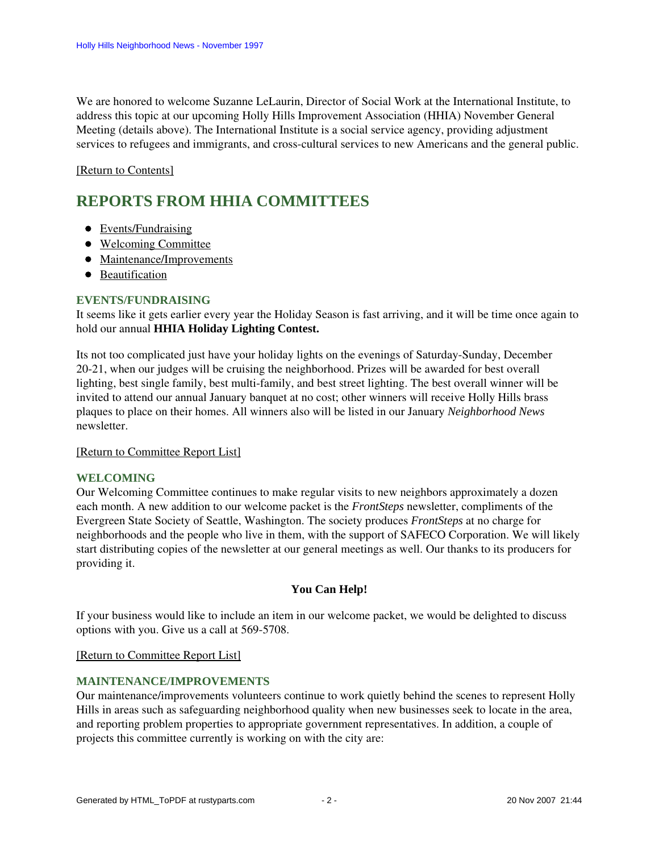We are honored to welcome Suzanne LeLaurin, Director of Social Work at the International Institute, to address this topic at our upcoming Holly Hills Improvement Association (HHIA) November General Meeting (details above). The International Institute is a social service agency, providing adjustment services to refugees and immigrants, and cross-cultural services to new Americans and the general public.

#### <span id="page-1-0"></span>[\[Return to Contents\]](#page-0-2)

### <span id="page-1-4"></span>**REPORTS FROM HHIA COMMITTEES**

- [Events/Fundraising](#page-1-1)
- [Welcoming Committee](#page-1-2)
- [Maintenance/Improvements](#page-1-3)
- [Beautification](#page-2-1)

#### <span id="page-1-1"></span>**EVENTS/FUNDRAISING**

It seems like it gets earlier every year the Holiday Season is fast arriving, and it will be time once again to hold our annual **HHIA Holiday Lighting Contest.**

Its not too complicated just have your holiday lights on the evenings of Saturday-Sunday, December 20-21, when our judges will be cruising the neighborhood. Prizes will be awarded for best overall lighting, best single family, best multi-family, and best street lighting. The best overall winner will be invited to attend our annual January banquet at no cost; other winners will receive Holly Hills brass plaques to place on their homes. All winners also will be listed in our January *Neighborhood News* newsletter.

#### [\[Return to Committee Report List\]](#page-1-4)

#### <span id="page-1-2"></span>**WELCOMING**

Our Welcoming Committee continues to make regular visits to new neighbors approximately a dozen each month. A new addition to our welcome packet is the *FrontSteps* newsletter, compliments of the Evergreen State Society of Seattle, Washington. The society produces *FrontSteps* at no charge for neighborhoods and the people who live in them, with the support of SAFECO Corporation. We will likely start distributing copies of the newsletter at our general meetings as well. Our thanks to its producers for providing it.

#### **You Can Help!**

If your business would like to include an item in our welcome packet, we would be delighted to discuss options with you. Give us a call at 569-5708.

[\[Return to Committee Report List\]](#page-1-4)

#### <span id="page-1-3"></span>**MAINTENANCE/IMPROVEMENTS**

Our maintenance/improvements volunteers continue to work quietly behind the scenes to represent Holly Hills in areas such as safeguarding neighborhood quality when new businesses seek to locate in the area, and reporting problem properties to appropriate government representatives. In addition, a couple of projects this committee currently is working on with the city are: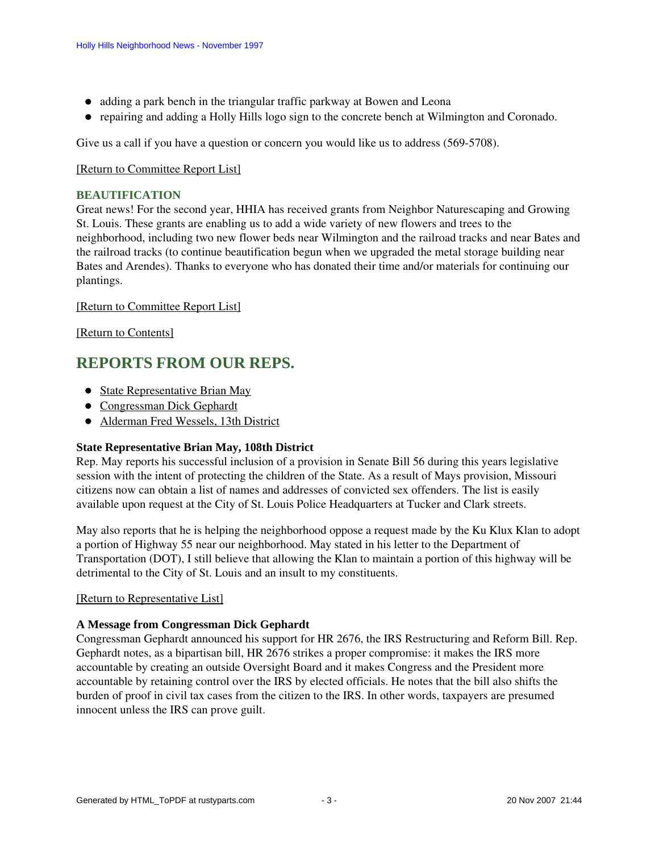- adding a park bench in the triangular traffic parkway at Bowen and Leona
- repairing and adding a Holly Hills logo sign to the concrete bench at Wilmington and Coronado.

Give us a call if you have a question or concern you would like us to address (569-5708).

#### [\[Return to Committee Report List\]](#page-1-4)

#### <span id="page-2-1"></span>**BEAUTIFICATION**

Great news! For the second year, HHIA has received grants from Neighbor Naturescaping and Growing St. Louis. These grants are enabling us to add a wide variety of new flowers and trees to the neighborhood, including two new flower beds near Wilmington and the railroad tracks and near Bates and the railroad tracks (to continue beautification begun when we upgraded the metal storage building near Bates and Arendes). Thanks to everyone who has donated their time and/or materials for continuing our plantings.

#### [\[Return to Committee Report List\]](#page-1-4)

[\[Return to Contents\]](#page-0-2)

### <span id="page-2-4"></span><span id="page-2-0"></span>**REPORTS FROM OUR REPS.**

- [State Representative Brian May](#page-2-2)
- [Congressman Dick Gephardt](#page-2-3)
- [Alderman Fred Wessels, 13th District](#page-3-1)

#### <span id="page-2-2"></span>**State Representative Brian May, 108th District**

Rep. May reports his successful inclusion of a provision in Senate Bill 56 during this years legislative session with the intent of protecting the children of the State. As a result of Mays provision, Missouri citizens now can obtain a list of names and addresses of convicted sex offenders. The list is easily available upon request at the City of St. Louis Police Headquarters at Tucker and Clark streets.

May also reports that he is helping the neighborhood oppose a request made by the Ku Klux Klan to adopt a portion of Highway 55 near our neighborhood. May stated in his letter to the Department of Transportation (DOT), I still believe that allowing the Klan to maintain a portion of this highway will be detrimental to the City of St. Louis and an insult to my constituents.

#### [\[Return to Representative List\]](#page-2-4)

#### <span id="page-2-3"></span>**A Message from Congressman Dick Gephardt**

Congressman Gephardt announced his support for HR 2676, the IRS Restructuring and Reform Bill. Rep. Gephardt notes, as a bipartisan bill, HR 2676 strikes a proper compromise: it makes the IRS more accountable by creating an outside Oversight Board and it makes Congress and the President more accountable by retaining control over the IRS by elected officials. He notes that the bill also shifts the burden of proof in civil tax cases from the citizen to the IRS. In other words, taxpayers are presumed innocent unless the IRS can prove guilt.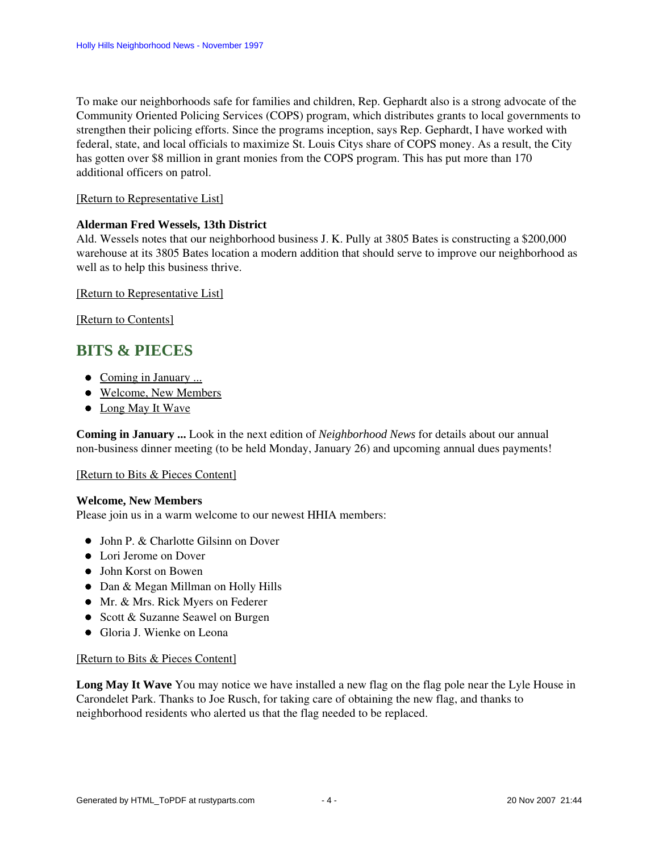To make our neighborhoods safe for families and children, Rep. Gephardt also is a strong advocate of the Community Oriented Policing Services (COPS) program, which distributes grants to local governments to strengthen their policing efforts. Since the programs inception, says Rep. Gephardt, I have worked with federal, state, and local officials to maximize St. Louis Citys share of COPS money. As a result, the City has gotten over \$8 million in grant monies from the COPS program. This has put more than 170 additional officers on patrol.

#### [\[Return to Representative List\]](#page-2-4)

#### <span id="page-3-1"></span>**Alderman Fred Wessels, 13th District**

Ald. Wessels notes that our neighborhood business J. K. Pully at 3805 Bates is constructing a \$200,000 warehouse at its 3805 Bates location a modern addition that should serve to improve our neighborhood as well as to help this business thrive.

#### [\[Return to Representative List\]](#page-2-4)

[\[Return to Contents\]](#page-0-2)

### <span id="page-3-5"></span><span id="page-3-0"></span>**BITS & PIECES**

- [Coming in January ...](#page-3-2)
- [Welcome, New Members](#page-3-3)
- [Long May It Wave](#page-3-4)

<span id="page-3-2"></span>**Coming in January ...** Look in the next edition of *Neighborhood News* for details about our annual non-business dinner meeting (to be held Monday, January 26) and upcoming annual dues payments!

#### [\[Return to Bits & Pieces Content\]](#page-3-5)

#### <span id="page-3-3"></span>**Welcome, New Members**

Please join us in a warm welcome to our newest HHIA members:

- John P. & Charlotte Gilsinn on Dover
- Lori Jerome on Dover
- John Korst on Bowen
- Dan & Megan Millman on Holly Hills
- Mr. & Mrs. Rick Myers on Federer
- Scott & Suzanne Seawel on Burgen
- Gloria J. Wienke on Leona

#### [\[Return to Bits & Pieces Content\]](#page-3-5)

<span id="page-3-4"></span>**Long May It Wave** You may notice we have installed a new flag on the flag pole near the Lyle House in Carondelet Park. Thanks to Joe Rusch, for taking care of obtaining the new flag, and thanks to neighborhood residents who alerted us that the flag needed to be replaced.